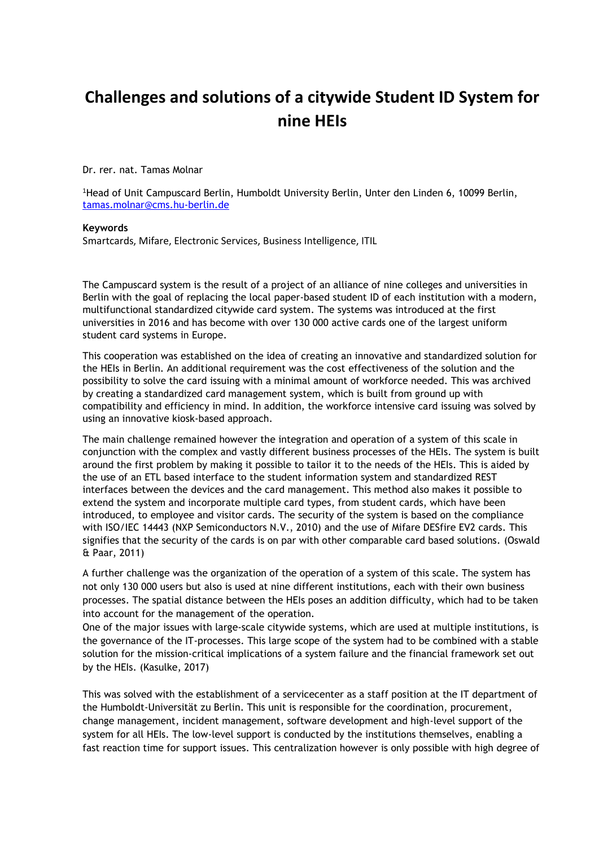## **Challenges and solutions of a citywide Student ID System for nine HEIs**

Dr. rer. nat. Tamas Molnar

<sup>1</sup>Head of Unit Campuscard Berlin, Humboldt University Berlin, Unter den Linden 6, 10099 Berlin, [tamas.molnar@cms.hu-berlin.de](mailto:tamas.molnar@cms.hu-berlin.de)

## **Keywords**

Smartcards, Mifare, Electronic Services, Business Intelligence, ITIL

The Campuscard system is the result of a project of an alliance of nine colleges and universities in Berlin with the goal of replacing the local paper-based student ID of each institution with a modern, multifunctional standardized citywide card system. The systems was introduced at the first universities in 2016 and has become with over 130 000 active cards one of the largest uniform student card systems in Europe.

This cooperation was established on the idea of creating an innovative and standardized solution for the HEIs in Berlin. An additional requirement was the cost effectiveness of the solution and the possibility to solve the card issuing with a minimal amount of workforce needed. This was archived by creating a standardized card management system, which is built from ground up with compatibility and efficiency in mind. In addition, the workforce intensive card issuing was solved by using an innovative kiosk-based approach.

The main challenge remained however the integration and operation of a system of this scale in conjunction with the complex and vastly different business processes of the HEIs. The system is built around the first problem by making it possible to tailor it to the needs of the HEIs. This is aided by the use of an ETL based interface to the student information system and standardized REST interfaces between the devices and the card management. This method also makes it possible to extend the system and incorporate multiple card types, from student cards, which have been introduced, to employee and visitor cards. The security of the system is based on the compliance with ISO/IEC 14443 (NXP Semiconductors N.V., 2010) and the use of Mifare DESfire EV2 cards. This signifies that the security of the cards is on par with other comparable card based solutions. (Oswald & Paar, 2011)

A further challenge was the organization of the operation of a system of this scale. The system has not only 130 000 users but also is used at nine different institutions, each with their own business processes. The spatial distance between the HEIs poses an addition difficulty, which had to be taken into account for the management of the operation.

One of the major issues with large-scale citywide systems, which are used at multiple institutions, is the governance of the IT-processes. This large scope of the system had to be combined with a stable solution for the mission-critical implications of a system failure and the financial framework set out by the HEIs. (Kasulke, 2017)

This was solved with the establishment of a servicecenter as a staff position at the IT department of the Humboldt-Universität zu Berlin. This unit is responsible for the coordination, procurement, change management, incident management, software development and high-level support of the system for all HEIs. The low-level support is conducted by the institutions themselves, enabling a fast reaction time for support issues. This centralization however is only possible with high degree of